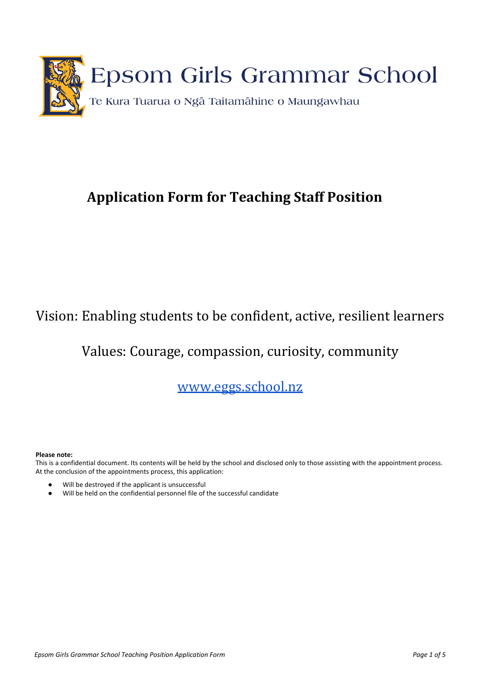

# **Application Form for Teaching Staff Position**

# Vision: Enabling students to be confident, active, resilient learners

## Values: Courag[e, compassion, curios](http://www.egg.school.nz/)ity, community

www.eggs.school.nz

#### **Please note:**

This is a confidential document. Its contents will be held by the school and disclosed only to those assisting with the appointment process. At the conclusion of the appointments process, this application:

- Will be destroyed if the applicant is unsuccessful
- Will be held on the confidential personnel file of the successful candidate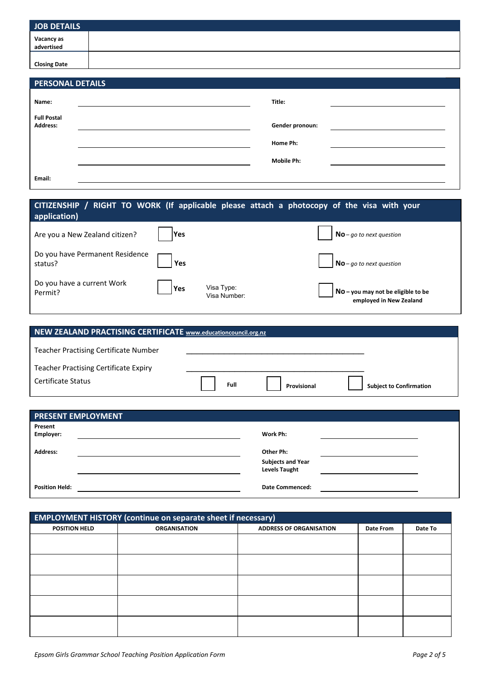| JOB DETAILS              |  |
|--------------------------|--|
| Vacancy as<br>advertised |  |
| <b>Closing Date</b>      |  |

| <b>PERSONAL DETAILS</b>        |                   |                                                                                                                      |
|--------------------------------|-------------------|----------------------------------------------------------------------------------------------------------------------|
| Name:                          | Title:            |                                                                                                                      |
| <b>Full Postal</b><br>Address: | Gender pronoun:   | <u> 1980 - Jan Barbara Barbara, prima popular popular popular popular popular popular popular popular popular po</u> |
|                                | Home Ph:          |                                                                                                                      |
|                                | <b>Mobile Ph:</b> |                                                                                                                      |
| Email:                         |                   |                                                                                                                      |

| application)                               |             |                            | CITIZENSHIP / RIGHT TO WORK (If applicable please attach a photocopy of the visa with your |
|--------------------------------------------|-------------|----------------------------|--------------------------------------------------------------------------------------------|
| Are you a New Zealand citizen?             | <b>IYes</b> |                            | $No$ -go to next question                                                                  |
| Do you have Permanent Residence<br>status? | Yes         |                            | $No$ – go to next question                                                                 |
| Do you have a current Work<br>Permit?      | Yes         | Visa Type:<br>Visa Number: | No - you may not be eligible to be<br>employed in New Zealand                              |

| NEW ZEALAND PRACTISING CERTIFICATE www.educationcouncil.org.nz |  |      |             |                                |  |
|----------------------------------------------------------------|--|------|-------------|--------------------------------|--|
| Teacher Practising Certificate Number                          |  |      |             |                                |  |
| <b>Teacher Practising Certificate Expiry</b>                   |  |      |             |                                |  |
| Certificate Status                                             |  | Full | Provisional | <b>Subject to Confirmation</b> |  |

| <b>PRESENT EMPLOYMENT</b> |                          |  |
|---------------------------|--------------------------|--|
| Present                   |                          |  |
| Employer:                 | Work Ph:                 |  |
| <b>Address:</b>           | Other Ph:                |  |
|                           | <b>Subjects and Year</b> |  |
|                           | <b>Levels Taught</b>     |  |
| <b>Position Held:</b>     | <b>Date Commenced:</b>   |  |

| <b>EMPLOYMENT HISTORY (continue on separate sheet if necessary)</b> |                     |                                |           |         |  |
|---------------------------------------------------------------------|---------------------|--------------------------------|-----------|---------|--|
| <b>POSITION HELD</b>                                                | <b>ORGANISATION</b> | <b>ADDRESS OF ORGANISATION</b> | Date From | Date To |  |
|                                                                     |                     |                                |           |         |  |
|                                                                     |                     |                                |           |         |  |
|                                                                     |                     |                                |           |         |  |
|                                                                     |                     |                                |           |         |  |
|                                                                     |                     |                                |           |         |  |
|                                                                     |                     |                                |           |         |  |
|                                                                     |                     |                                |           |         |  |
|                                                                     |                     |                                |           |         |  |
|                                                                     |                     |                                |           |         |  |
|                                                                     |                     |                                |           |         |  |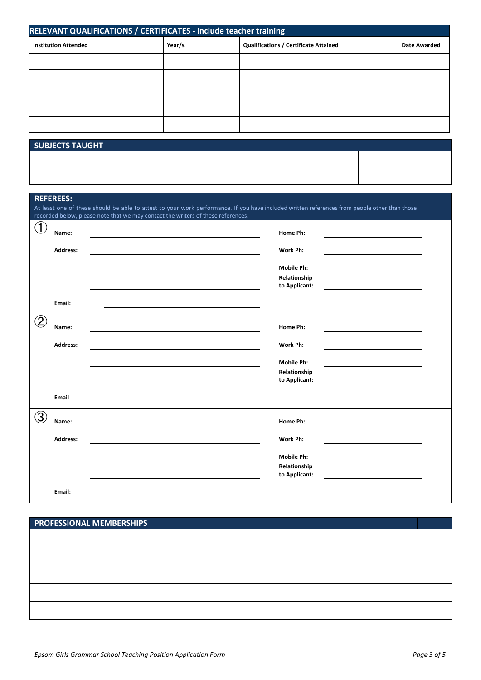| RELEVANT QUALIFICATIONS / CERTIFICATES - include teacher training |        |                                              |                     |  |
|-------------------------------------------------------------------|--------|----------------------------------------------|---------------------|--|
| <b>Institution Attended</b>                                       | Year/s | <b>Qualifications / Certificate Attained</b> | <b>Date Awarded</b> |  |
|                                                                   |        |                                              |                     |  |
|                                                                   |        |                                              |                     |  |
|                                                                   |        |                                              |                     |  |
|                                                                   |        |                                              |                     |  |
|                                                                   |        |                                              |                     |  |

| <b>SUBJECTS TAUGHT</b> |  |  |  |  |  |
|------------------------|--|--|--|--|--|
|                        |  |  |  |  |  |
|                        |  |  |  |  |  |

### **REFEREES:**

|                   |                 | At least one of these should be able to attest to your work performance. If you have included written references from people other than those<br>recorded below, please note that we may contact the writers of these references. |
|-------------------|-----------------|-----------------------------------------------------------------------------------------------------------------------------------------------------------------------------------------------------------------------------------|
| T                 | Name:           | Home Ph:                                                                                                                                                                                                                          |
|                   | <b>Address:</b> | Work Ph:                                                                                                                                                                                                                          |
|                   |                 | <b>Mobile Ph:</b>                                                                                                                                                                                                                 |
|                   |                 | Relationship<br>to Applicant:                                                                                                                                                                                                     |
|                   | Email:          |                                                                                                                                                                                                                                   |
| $\left( 2\right)$ | Name:           | Home Ph:                                                                                                                                                                                                                          |
|                   | <b>Address:</b> | Work Ph:                                                                                                                                                                                                                          |
|                   |                 | <b>Mobile Ph:</b>                                                                                                                                                                                                                 |
|                   |                 | Relationship<br>to Applicant:                                                                                                                                                                                                     |
|                   | Email           |                                                                                                                                                                                                                                   |
| 3                 | Name:           | Home Ph:                                                                                                                                                                                                                          |
|                   | Address:        | Work Ph:                                                                                                                                                                                                                          |
|                   |                 | <b>Mobile Ph:</b>                                                                                                                                                                                                                 |
|                   |                 | Relationship<br>to Applicant:                                                                                                                                                                                                     |
|                   | Email:          |                                                                                                                                                                                                                                   |

## **PROFESSIONAL MEMBERSHIPS**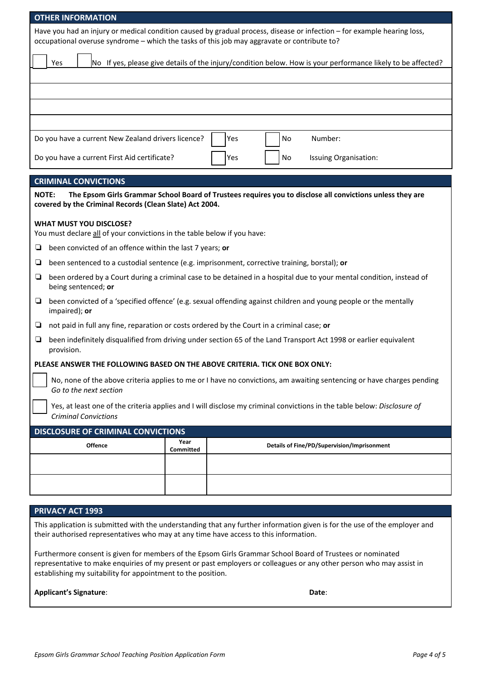| <b>OTHER INFORMATION</b>                                                                                                                                                                                               |  |  |  |  |
|------------------------------------------------------------------------------------------------------------------------------------------------------------------------------------------------------------------------|--|--|--|--|
| Have you had an injury or medical condition caused by gradual process, disease or infection - for example hearing loss,<br>occupational overuse syndrome - which the tasks of this job may aggravate or contribute to? |  |  |  |  |
| Yes<br>No If yes, please give details of the injury/condition below. How is your performance likely to be affected?                                                                                                    |  |  |  |  |
|                                                                                                                                                                                                                        |  |  |  |  |
|                                                                                                                                                                                                                        |  |  |  |  |
|                                                                                                                                                                                                                        |  |  |  |  |
| Number:<br>Do you have a current New Zealand drivers licence?<br>Yes<br>No                                                                                                                                             |  |  |  |  |
| Do you have a current First Aid certificate?<br>Yes<br>No<br>Issuing Organisation:                                                                                                                                     |  |  |  |  |
| <b>CRIMINAL CONVICTIONS</b>                                                                                                                                                                                            |  |  |  |  |
| <b>NOTE:</b><br>The Epsom Girls Grammar School Board of Trustees requires you to disclose all convictions unless they are<br>covered by the Criminal Records (Clean Slate) Act 2004.                                   |  |  |  |  |
| <b>WHAT MUST YOU DISCLOSE?</b><br>You must declare all of your convictions in the table below if you have:                                                                                                             |  |  |  |  |
| been convicted of an offence within the last 7 years; or<br>Q                                                                                                                                                          |  |  |  |  |
| been sentenced to a custodial sentence (e.g. imprisonment, corrective training, borstal); or<br>Q                                                                                                                      |  |  |  |  |
| been ordered by a Court during a criminal case to be detained in a hospital due to your mental condition, instead of<br>❏<br>being sentenced; or                                                                       |  |  |  |  |
| been convicted of a 'specified offence' (e.g. sexual offending against children and young people or the mentally<br>❏<br>impaired); or                                                                                 |  |  |  |  |
| not paid in full any fine, reparation or costs ordered by the Court in a criminal case; or<br>Q                                                                                                                        |  |  |  |  |
| been indefinitely disqualified from driving under section 65 of the Land Transport Act 1998 or earlier equivalent<br>Q<br>provision.                                                                                   |  |  |  |  |
| PLEASE ANSWER THE FOLLOWING BASED ON THE ABOVE CRITERIA. TICK ONE BOX ONLY:                                                                                                                                            |  |  |  |  |
| No, none of the above criteria applies to me or I have no convictions, am awaiting sentencing or have charges pending<br>Go to the next section                                                                        |  |  |  |  |
| Yes, at least one of the criteria applies and I will disclose my criminal convictions in the table below: Disclosure of<br><b>Criminal Convictions</b>                                                                 |  |  |  |  |
| <b>DISCLOSURE OF CRIMINAL CONVICTIONS</b>                                                                                                                                                                              |  |  |  |  |
| Year<br>Offence<br>Details of Fine/PD/Supervision/Imprisonment<br>Committed                                                                                                                                            |  |  |  |  |
|                                                                                                                                                                                                                        |  |  |  |  |
|                                                                                                                                                                                                                        |  |  |  |  |
|                                                                                                                                                                                                                        |  |  |  |  |
| <b>PRIVACY ACT 1993</b>                                                                                                                                                                                                |  |  |  |  |

This application is submitted with the understanding that any further information given is for the use of the employer and their authorised representatives who may at any time have access to this information.

Furthermore consent is given for members of the Epsom Girls Grammar School Board of Trustees or nominated representative to make enquiries of my present or past employers or colleagues or any other person who may assist in establishing my suitability for appointment to the position.

| <b>Applicant's Signature:</b> | Date: |
|-------------------------------|-------|
|-------------------------------|-------|